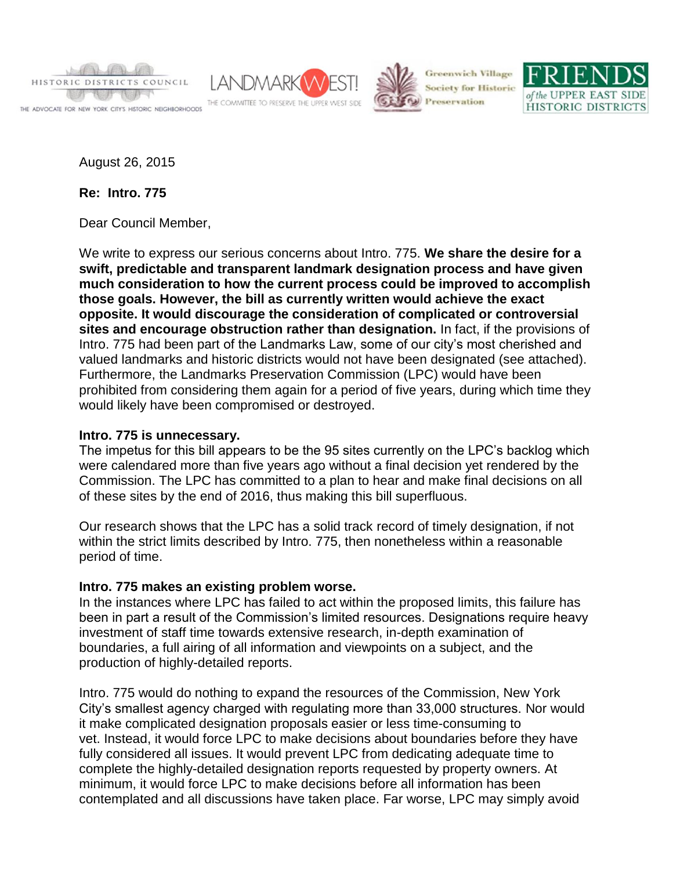

THE ADVOCATE FOR NEW YORK CITY'S HISTORIC NEIGHBORHOODS





**Greenwich Village Society for Historic** 



August 26, 2015

**Re: Intro. 775**

Dear Council Member,

We write to express our serious concerns about Intro. 775. **We share the desire for a swift, predictable and transparent landmark designation process and have given much consideration to how the current process could be improved to accomplish those goals. However, the bill as currently written would achieve the exact opposite. It would discourage the consideration of complicated or controversial sites and encourage obstruction rather than designation.** In fact, if the provisions of Intro. 775 had been part of the Landmarks Law, some of our city's most cherished and valued landmarks and historic districts would not have been designated (see attached). Furthermore, the Landmarks Preservation Commission (LPC) would have been prohibited from considering them again for a period of five years, during which time they would likely have been compromised or destroyed.

### **Intro. 775 is unnecessary.**

The impetus for this bill appears to be the 95 sites currently on the LPC's backlog which were calendared more than five years ago without a final decision yet rendered by the Commission. The LPC has committed to a plan to hear and make final decisions on all of these sites by the end of 2016, thus making this bill superfluous.

Our research shows that the LPC has a solid track record of timely designation, if not within the strict limits described by Intro. 775, then nonetheless within a reasonable period of time.

# **Intro. 775 makes an existing problem worse.**

In the instances where LPC has failed to act within the proposed limits, this failure has been in part a result of the Commission's limited resources. Designations require heavy investment of staff time towards extensive research, in-depth examination of boundaries, a full airing of all information and viewpoints on a subject, and the production of highly-detailed reports.

Intro. 775 would do nothing to expand the resources of the Commission, New York City's smallest agency charged with regulating more than 33,000 structures. Nor would it make complicated designation proposals easier or less time-consuming to vet. Instead, it would force LPC to make decisions about boundaries before they have fully considered all issues. It would prevent LPC from dedicating adequate time to complete the highly-detailed designation reports requested by property owners. At minimum, it would force LPC to make decisions before all information has been contemplated and all discussions have taken place. Far worse, LPC may simply avoid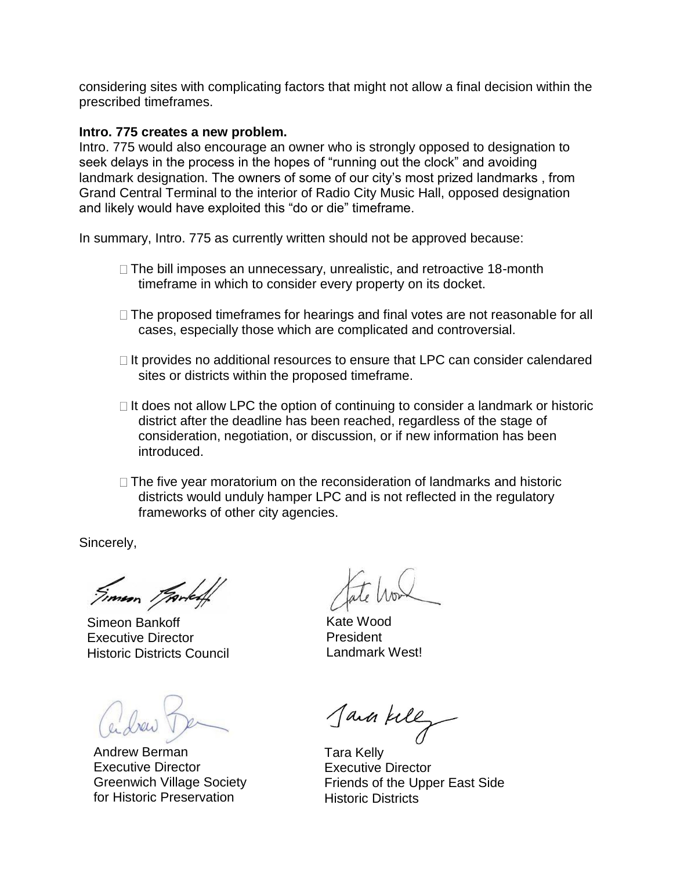considering sites with complicating factors that might not allow a final decision within the prescribed timeframes.

#### **Intro. 775 creates a new problem.**

Intro. 775 would also encourage an owner who is strongly opposed to designation to seek delays in the process in the hopes of "running out the clock" and avoiding landmark designation. The owners of some of our city's most prized landmarks , from Grand Central Terminal to the interior of Radio City Music Hall, opposed designation and likely would have exploited this "do or die" timeframe.

In summary, Intro. 775 as currently written should not be approved because:

- $\Box$  The bill imposes an unnecessary, unrealistic, and retroactive 18-month timeframe in which to consider every property on its docket.
- $\Box$  The proposed timeframes for hearings and final votes are not reasonable for all cases, especially those which are complicated and controversial.
- $\Box$  It provides no additional resources to ensure that LPC can consider calendared sites or districts within the proposed timeframe.
- $\Box$  It does not allow LPC the option of continuing to consider a landmark or historic district after the deadline has been reached, regardless of the stage of consideration, negotiation, or discussion, or if new information has been introduced.
- $\Box$  The five year moratorium on the reconsideration of landmarks and historic districts would unduly hamper LPC and is not reflected in the regulatory frameworks of other city agencies.

Sincerely,

Simon Brooked

Simeon Bankoff Executive Director Historic Districts Council

Andrew Berman Executive Director Greenwich Village Society for Historic Preservation

Kate Wood President Landmark West!

Java kelly

Tara Kelly Executive Director Friends of the Upper East Side Historic Districts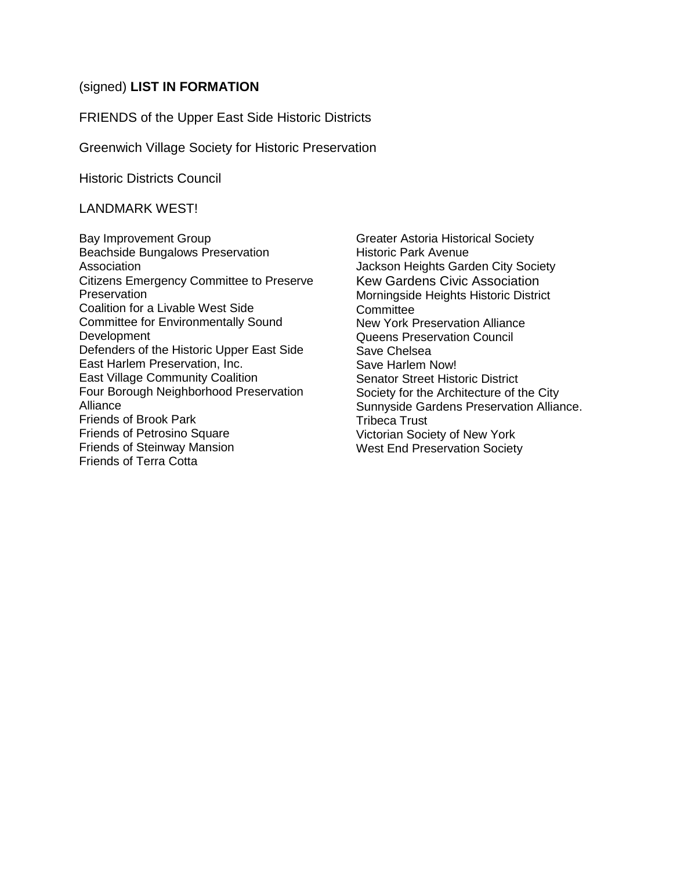### (signed) **LIST IN FORMATION**

FRIENDS of the Upper East Side Historic Districts

Greenwich Village Society for Historic Preservation

Historic Districts Council

LANDMARK WEST!

Bay Improvement Group Beachside Bungalows Preservation Association Citizens Emergency Committee to Preserve **Preservation** Coalition for a Livable West Side Committee for Environmentally Sound Development Defenders of the Historic Upper East Side East Harlem Preservation, Inc. East Village Community Coalition Four Borough Neighborhood Preservation Alliance Friends of Brook Park Friends of Petrosino Square Friends of Steinway Mansion Friends of Terra Cotta

Greater Astoria Historical Society Historic Park Avenue Jackson Heights Garden City Society Kew Gardens Civic Association Morningside Heights Historic District **Committee** New York Preservation Alliance Queens Preservation Council Save Chelsea Save Harlem Now! Senator Street Historic District Society for the Architecture of the City Sunnyside Gardens Preservation Alliance. Tribeca Trust Victorian Society of New York West End Preservation Society